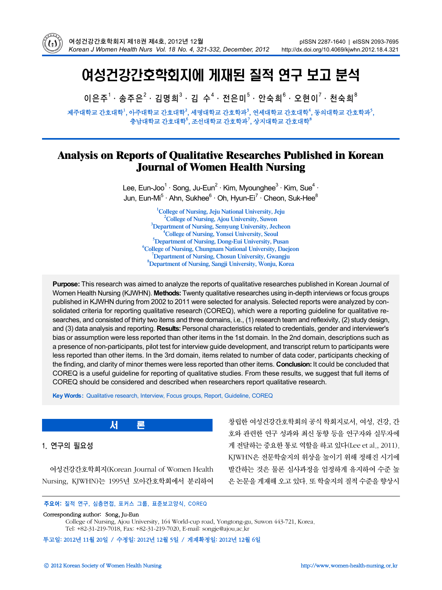

# 여성건강간호학회지에 게재된 질적 연구 보고 분석

이은주 $^1\cdot$  송주은 $^2\cdot$  김명희 $^3\cdot$  김 수 $^4\cdot$  전은미 $^5\cdot$  안숙희 $^6\cdot$  오현이 $^7\cdot$  천숙희 $^8$ 

제주대학교 간호대학<sup>1</sup>, 아주대학교 간호대학<sup>2</sup>, 세명대학교 간호학과<sup>3</sup>, 연세대학교 간호대학<sup>4</sup>, 동의대학교 간호학과<sup>5</sup>, 충남대학교 간호대학 $^6$ , 조선대학교 간호학과 $^7$ , 상지대학교 간호대학 $^8$ 

## **Analysis on Reports of Qualitative Researches Published in Korean Journal of Women Health Nursing**

Lee, Eun-Joo<sup>1</sup> · Song, Ju-Eun<sup>2</sup> · Kim, Myounghee<sup>3</sup> · Kim, Sue<sup>4</sup> · Jun, Eun-Mi<sup>5</sup> · Ahn, Sukhee<sup>6</sup> · Oh, Hyun-Ei<sup>7</sup> · Cheon, Suk-Hee<sup>8</sup>

> **1 College of Nursing, Jeju National University, Jeju 2** <sup>2</sup> College of Nursing, Ajou University, Suwon <sup>3</sup>Department of Nursing, Semyung University, Jecheon <sup>4</sup> College of Nursing, Yonsei University, Seoul <sup>5</sup>Department of Nursing, Dong-Eui University, Pusan **College of Nursing, Chungnam National University, Daejeon <sup>7</sup> Department of Nursing, Chosun University, Gwangju 8 Department of Nursing, Sangji University, Wonju, Korea**

**Purpose:** This research was aimed to analyze the reports of qualitative researches published in Korean Journal of Women Health Nursing (KJWHN). **Methods:** Twenty qualitative researches using in-depth interviews or focus groups published in KJWHN during from 2002 to 2011 were selected for analysis. Selected reports were analyzed by consolidated criteria for reporting qualitative research (COREQ), which were a reporting guideline for qualitative researches, and consisted of thirty two items and three domains, i.e., (1) research team and reflexivity, (2) study design, and (3) data analysis and reporting. **Results:** Personal characteristics related to credentials, gender and interviewer's bias or assumption were less reported than other items in the 1st domain. In the 2nd domain, descriptions such as a presence of non-participants, pilot test for interview guide development, and transcript return to participants were less reported than other items. In the 3rd domain, items related to number of data coder, participants checking of the finding, and clarity of minor themes were less reported than other items. **Conclusion:** It could be concluded that COREQ is a useful guideline for reporting of qualitative studies. From these results, we suggest that full items of COREQ should be considered and described when researchers report qualitative research.

**Key Words:** Qualitative research, Interview, Focus groups, Report, Guideline, COREQ

1. 연구의 필요성

여성건강간호학회지(Korean Journal of Women Health Nursing, KJWHN)는 1995년 모아간호학회에서 분리하여

서

창립한 여성건강간호학회의 공식 학회지로서, 여성, 건강, 간 호와 관련한 연구 성과와 최신 동향 등을 연구자와 실무자에 게 전달하는 중요한 통로 역할을 하고 있다(Lee et al., 2011). KJWHN은 전문학술지의 위상을 높이기 위해 정해진 시기에 발간하는 것은 물론 심사과정을 엄정하게 유지하여 수준 높 은 논문을 게재해 오고 있다. 또 학술지의 질적 수준을 향상시

#### 주요어: 질적 연구, 심층면접, 포커스 그룹, 표준보고양식, COREQ

#### Corresponding author: Song, Ju-Eun

College of Nursing, Ajou University, 164 World-cup road, Yongtong-gu, Suwon 443-721, Korea. Tel: +82-31-219-7018, Fax: +82-31-219-7020, E-mail: songje@ajou.ac.kr

투고일: 2012년 11월 20일 / 수정일: 2012년 12월 5일 / 게재확정일: 2012년 12월 6일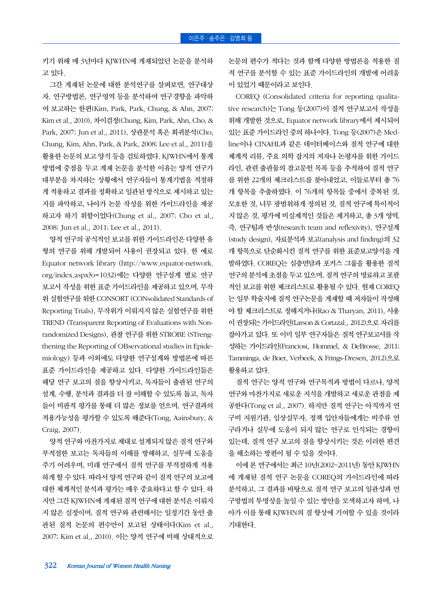키기 위해 매 3년마다 KJWHN에 게재되었던 논문을 분석하 고 있다.

그간 게재된 논문에 대한 분석연구를 살펴보면, 연구대상 자, 연구방법론, 연구영역 등을 분석하여 연구경향을 파악하 여 보고하는 한편(Kim, Park, Park, Chung, & Ahn, 2007; Kim et al., 2010), 차이검정(Chung, Kim, Park, Ahn, Cho, & Park, 2007; Jun et al., 2011), 상관분석 혹은 회귀분석(Cho, Chung, Kim, Ahn, Park, & Park, 2008; Lee et al., 2011)을 활용한 논문의 보고 양식 등을 검토하였다. KJWHN에서 통계 방법에 중점을 두고 게재 논문을 분석한 이유는 양적 연구가 대부분을 차지하는 상황에서 연구자들이 통계기법을 적절하 게 적용하고 결과를 정확하고 일관된 방식으로 제시하고 있는 지를 파악하고, 나아가 논문 작성을 위한 가이드라인을 제공 하고자 하기 위함이었다(Chung et al., 2007; Cho et al., 2008; Jun et al., 2011; Lee et al., 2011).

양적 연구의 공식적인 보고를 위한 가이드라인은 다양한 유 형의 연구를 위해 개발되어 사용이 권장되고 있다. 한 예로 Equator network library (http://www.equator-network. org/index.aspx?o=1032)에는 다양한 연구설계 별로 연구 보고서 작성을 위한 표준 가이드라인을 제공하고 있으며, 무작 위 실험연구를 위한 CONSORT (CONsolidated Standards of Reporting Trials), 무작위가 이뤄지지 않은 실험연구를 위한 TREND (Transparent Reporting of Evaluations with Nonrandomized Designs), 관찰 연구를 위한 STROBE (STrengthening the Reporting of OBservational studies in Epidemiology) 등과 이외에도 다양한 연구설계와 방법론에 따른 표준 가이드라인을 제공하고 있다. 다양한 가이드라인들은 해당 연구 보고의 질을 향상시키고, 독자들이 출판된 연구의 설계, 수행, 분석과 결과를 더 잘 이해할 수 있도록 돕고, 독자 들이 비판적 평가를 통해 더 많은 정보를 얻으며, 연구결과의 적용가능성을 평가할 수 있도록 해준다(Tong, Aainsbury, & Craig, 2007).

양적 연구와 마찬가지로 제대로 설계되지 않은 질적 연구와 부적절한 보고는 독자들의 이해를 방해하고, 실무에 도움을 주기 어려우며, 미래 연구에서 질적 연구를 부적절하게 적용 하게 할 수 있다. 따라서 양적 연구와 같이 질적 연구의 보고에 대한 체계적인 분석과 평가는 매우 중요하다고 할 수 있다. 하 지만 그간 KJWHN에 게재된 질적 연구에 대한 분석은 이뤄지 지 않은 실정이며, 질적 연구와 관련해서는 일정기간 동안 출 판된 질적 논문의 편수만이 보고된 상태이다(Kim et al., 2007; Kim et al., 2010). 이는 양적 연구에 비해 상대적으로 논문의 편수가 적다는 것과 함께 다양한 방법론을 적용한 질 적 연구를 분석할 수 있는 표준 가이드라인의 개발에 어려움 이 있었기 때문이라고 보인다.

COREQ (Consolidated criteria for reporting qualitative research)는 Tong 등(2007)이 질적 연구보고서 작성을 위해 개발한 것으로, Equator network library에서 제시되어 있는 표준 가이드라인 중의 하나이다. Tong 등(2007)은 Medline이나 CINAHL과 같은 데이터베이스와 질적 연구에 대한 체계적 리뷰, 주요 의학 잡지의 저자나 논평자를 위한 가이드 라인, 관련 출판물의 참고문헌 목록 등을 추적하여 질적 연구 를 위한 22개의 체크리스트를 찾아내었고, 이들로부터 총 76 개 항목을 추출하였다. 이 76개의 항목들 중에서 중복된 것, 모호한 것, 너무 광범위하게 정의된 것, 질적 연구에 특이적이 지 않은 것, 평가에 비실제적인 것들은 제거하고, 총 3개 영역, 즉, 연구팀과 반성(research team and reflexivity), 연구설계 (study design), 자료분석과 보고(analysis and finding)의 32 개 항목으로 단순화시킨 질적 연구를 위한 표준보고양식을 개 발하였다. COREQ는 심층면담과 포커스 그룹을 활용한 질적 연구의 분석에 초점을 두고 있으며, 질적 연구의 명료하고 포괄 적인 보고를 위한 체크리스트로 활용될 수 있다. 현재 COREQ 는 일부 학술지에 질적 연구논문을 게재할 때 저자들이 작성해 야 할 체크리스트로 정해지거나(Rao & Tharyan, 2011), 사용 이 권장되는 가이드라인(Larson & Cortazal., 2012)으로 자리를 잡아가고 있다. 또 이미 일부 연구자들은 질적 연구보고서를 작 성하는 가이드라인(Franciosi, Hommel, & DeBrosse, 2011; Tamminga, de Boer, Verbeek, & Frings-Dresen, 2012)으로 활용하고 있다.

질적 연구는 양적 연구와 연구목적과 방법이 다르나, 양적 연구와 마찬가지로 새로운 지식을 개발하고 새로운 관점을 제 공한다(Tong et al., 2007). 하지만 질적 연구는 아직까지 연 구비 지원기관, 임상실무자, 정책 입안자들에게는 비주류 연 구라거나 실무에 도움이 되지 않는 연구로 인식되는 경향이 있는데, 질적 연구 보고의 질을 향상시키는 것은 이러한 편견 을 해소하는 방편이 될 수 있을 것이다.

이에 본 연구에서는 최근 10년(2002~2011년) 동안 KJWHN 에 게재된 질적 연구 논문을 COREQ의 가이드라인에 따라 분석하고, 그 결과를 바탕으로 질적 연구 보고의 일관성과 연 구방법의 투명성을 높일 수 있는 방안을 모색하고자 하며, 나 아가 이를 통해 KJWHN의 질 향상에 기여할 수 있을 것이라 기대한다.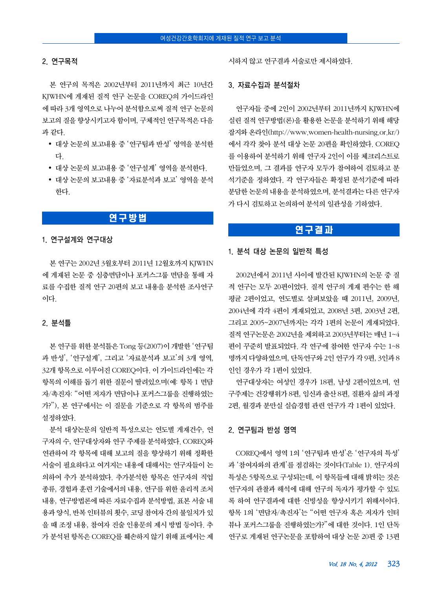#### 2. 연구목적

본 연구의 목적은 2002년부터 2011년까지 최근 10년간 KJWHN에 게재된 질적 연구 논문을 COREQ의 가이드라인 에 따라 3개 영역으로 나누어 분석함으로써 질적 연구 논문의 보고의 질을 향상시키고자 함이며, 구체적인 연구목적은 다음 과 같다.

- y 대상 논문의 보고내용 중 '연구팀과 반성' 영역을 분석한 다.
- 대상 논문의 보고내용 중 '연구설계' 영역을 분석하다.
- y 대상 논문의 보고내용 중 '자료분석과 보고' 영역을 분석 한다.

## 연구방법

#### 1. 연구설계와 연구대상

본 연구는 2002년 3월호부터 2011년 12월호까지 KJWHN 에 게재된 논문 중 심층면담이나 포커스그룹 면담을 통해 자 료를 수집한 질적 연구 20편의 보고 내용을 분석한 조사연구 이다.

### 2. 분석틀

본 연구를 위한 분석틀은 Tong 등(2007)이 개발한 '연구팀 과 반성', '연구설계', 그리고 '자료분석과 보고'의 3개 영역, 32개 항목으로 이루어진 COREQ이다. 이 가이드라인에는 각 항목의 이해를 돕기 위한 질문이 딸려있으며(예: 항목 1 면담 자/촉진자: "어떤 저자가 면담이나 포커스그룹을 진행하였는 가?"), 본 연구에서는 이 질문을 기준으로 각 항목의 범주를 설정하였다.

분석 대상논문의 일반적 특성으로는 연도별 게재건수, 연 구자의 수, 연구대상자와 연구 주제를 분석하였다. COREQ와 연관하여 각 항목에 대해 보고의 질을 향상하기 위해 정확한 서술이 필요하다고 여겨지는 내용에 대해서는 연구자들이 논 의하여 추가 분석하였다. 추가분석한 항목은 연구자의 직업 종류, 경험과 훈련 기술에서의 내용, 연구를 위한 윤리적 조처 내용, 연구방법론에 따른 자료수집과 분석방법, 표본 서술 내 용과 양식, 반복 인터뷰의 횟수, 코딩 참여자 간의 불일치가 있 을 때 조정 내용, 참여자 진술 인용문의 제시 방법 등이다. 추 가 분석된 항목은 COREQ를 훼손하지 않기 위해 표에서는 제

시하지 않고 연구결과 서술로만 제시하였다.

#### 3. 자료수집과 분석절차

연구자들 중에 2인이 2002년부터 2011년까지 KJWHN에 실린 질적 연구방법(론)을 활용한 논문을 분석하기 위해 해당 잡지와 온라인(http://www.women-health-nursing.or.kr/) 에서 각각 찾아 분석 대상 논문 20편을 확인하였다. COREQ 를 이용하여 분석하기 위해 연구자 2인이 이를 체크리스트로 만들었으며, 그 결과를 연구자 모두가 참여하여 검토하고 분 석기준을 정하였다. 각 연구자들은 확정된 분석기준에 따라 분담한 논문의 내용을 분석하였으며, 분석결과는 다른 연구자 가 다시 검토하고 논의하여 분석의 일관성을 기하였다.

## 연구결과

#### 1. 분석 대상 논문의 일반적 특성

2002년에서 2011년 사이에 발간된 KJWHN의 논문 중 질 적 연구는 모두 20편이었다. 질적 연구의 게재 편수는 한 해 평균 2편이었고, 연도별로 살펴보았을 때 2011년, 2009년, 2004년에 각각 4편이 게재되었고, 2008년 3편, 2003년 2편, 그리고 2005~2007년까지는 각각 1편의 논문이 게재되었다. 질적 연구논문은 2002년을 제외하고 2003년부터는 매년 1~4 편이 꾸준히 발표되었다. 각 연구에 참여한 연구자 수는 1~8 명까지 다양하였으며, 단독연구와 2인 연구가 각 9편, 3인과 8 인인 경우가 각 1편이 있었다.

연구대상자는 여성인 경우가 18편, 남성 2편이었으며, 연 구주제는 건강행위가 8편, 임신과 출산 8편, 질환자 삶의 과정 2편, 월경과 분만실 실습경험 관련 연구가 각 1편이 있었다.

#### 2. 연구팀과 반성 영역

COREQ에서 영역 1의 '연구팀과 반성'은 '연구자의 특성' 과 '참여자와의 관계'를 점검하는 것이다(Table 1). 연구자의 특성은 5항목으로 구성되는데, 이 항목들에 대해 밝히는 것은 연구자의 관찰과 해석에 대해 연구의 독자가 평가할 수 있도 록 하여 연구결과에 대한 신빙성을 향상시키기 위해서이다. 항목 1의 '면담자/촉진자'는 "어떤 연구자 혹은 저자가 인터 뷰나 포커스그룹을 진행하였는가?"에 대한 것이다. 1인 단독 연구로 게재된 연구논문을 포함하여 대상 논문 20편 중 13편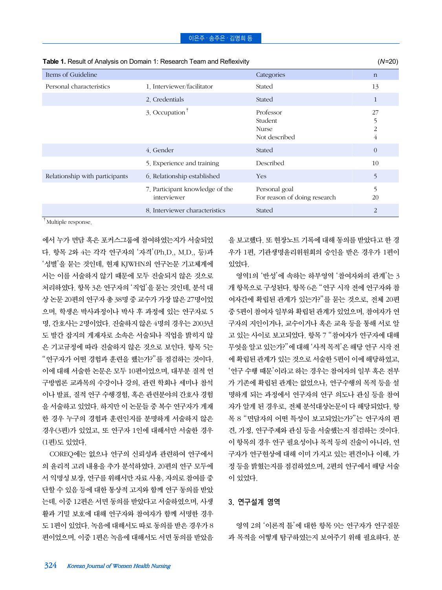| <b>Table 1.</b> INESURE OF ATTAILS SECTION TRAINING THE CONTRACTOR IN A FULL AND INCLUDED |                                                |                                                |                                             |
|-------------------------------------------------------------------------------------------|------------------------------------------------|------------------------------------------------|---------------------------------------------|
| Items of Guideline                                                                        |                                                | Categories                                     | $\mathbf n$                                 |
| Personal characteristics                                                                  | 1. Interviewer/facilitator                     | Stated                                         | 13                                          |
|                                                                                           | 2. Credentials                                 | Stated                                         | $\mathbf{1}$                                |
|                                                                                           | 3. Occupation <sup>†</sup>                     | Professor<br>Student<br>Nurse<br>Not described | 27<br>5<br>$\overline{2}$<br>$\overline{4}$ |
|                                                                                           | 4. Gender                                      | Stated                                         | $\theta$                                    |
|                                                                                           | 5. Experience and training                     | Described                                      | 10                                          |
| Relationship with participants                                                            | 6. Relationship established                    | Yes                                            | 5                                           |
|                                                                                           | 7. Participant knowledge of the<br>interviewer | Personal goal<br>For reason of doing research  | 5<br>20                                     |
|                                                                                           | 8. Interviewer characteristics                 | Stated                                         | 2                                           |

#### **Table 1.** Result of Analysis on Domain 1: Research Team and Reflexivity (*N*=20)

†Multiple response.

에서 누가 면담 혹은 포커스그룹에 참여하였는지가 서술되었 다. 항목 2와 4는 각각 연구자의 '자격'(Ph.D., M.D., 등)과 '성별'을 묻는 것인데, 현재 KJWHN의 연구논문 기고체계에 서는 이를 서술하지 않기 때문에 모두 진술되지 않은 것으로 처리하였다. 항목 3은 연구자의 '직업'을 묻는 것인데, 분석 대 상 논문 20편의 연구자 총 38명 중 교수가 가장 많은 27명이었 으며, 학생은 박사과정이나 박사 후 과정에 있는 연구자로 5 명, 간호사는 2명이었다. 진술하지 않은 4명의 경우는 2003년 도 발간 잡지의 게재자로 소속은 서술되나 직업을 밝히지 않 은 기고규정에 따라 진술하지 않은 것으로 보인다. 항목 5는 "연구자가 어떤 경험과 훈련을 했는가?"를 점검하는 것이다. 이에 대해 서술한 논문은 모두 10편이었으며, 대부분 질적 연 구방법론 교과목의 수강이나 강의, 관련 학회나 세미나 참석 이나 발표, 질적 연구 수행경험, 혹은 관련분야의 간호사 경험 을 서술하고 있었다. 하지만 이 논문들 중 복수 연구자가 게재 한 경우 누구의 경험과 훈련인지를 분명하게 서술하지 않은 경우(3편)가 있었고, 또 연구자 1인에 대해서만 서술한 경우 (1편)도 있었다.

COREQ에는 없으나 연구의 신뢰성과 관련하여 연구에서 의 윤리적 고려 내용을 추가 분석하였다. 20편의 연구 모두에 서 익명성 보장, 연구를 위해서만 자료 사용, 자의로 참여를 중 단할 수 있음 등에 대한 통상적 고지와 함께 연구 동의를 받았 는데, 이중 12편은 서면 동의를 받았다고 서술하였으며, 사생 활과 기밀 보호에 대해 연구자와 참여자가 함께 서명한 경우 도 1편이 있었다. 녹음에 대해서도 따로 동의를 받은 경우가 8 편이었으며, 이중 1편은 녹음에 대해서도 서면 동의를 받았음 을 보고했다. 또 현장노트 기록에 대해 동의를 받았다고 한 경 우가 1편, 기관생명윤리위원회의 승인을 받은 경우가 1편이 있었다.

영역1의 '반성'에 속하는 하부영역 '참여자와의 관계'는 3 개 항목으로 구성된다. 항목 6은 "연구 시작 전에 연구자와 참 여자간에 확립된 관계가 있는가?"를 묻는 것으로, 전체 20편 중 5편이 참여자 일부와 확립된 관계가 있었으며, 참여자가 연 구자의 지인이거나, 교수이거나 혹은 교육 등을 통해 서로 알 고 있는 사이로 보고되었다. 항목 7 "참여자가 연구자에 대해 무엇을 알고 있는가?"에 대해 '사적 목적'은 해당 연구 시작 전 에 확립된 관계가 있는 것으로 서술한 5편이 이에 해당하였고, '연구 수행 때문'이라고 하는 경우는 참여자의 일부 혹은 전부 가 기존에 확립된 관계는 없었으나, 연구수행의 목적 등을 설 명하게 되는 과정에서 연구자의 연구 의도나 관심 등을 참여 자가 알게 된 경우로, 전체 분석대상논문이 다 해당되었다. 항 목 8 "면담자의 어떤 특성이 보고되었는가?"는 연구자의 편 견, 가정, 연구주제와 관심 등을 서술했는지 점검하는 것이다. 이 항목의 경우 연구 필요성이나 목적 등의 진술이 아니라, 연 구자가 연구현상에 대해 이미 가지고 있는 편견이나 이해, 가 정 등을 밝혔는지를 점검하였으며, 2편의 연구에서 해당 서술 이 있었다.

## 3. 연구설계 영역

영역 2의 '이론적 틀'에 대한 항목 9는 연구자가 연구질문 과 목적을 어떻게 탐구하였는지 보여주기 위해 필요하다. 분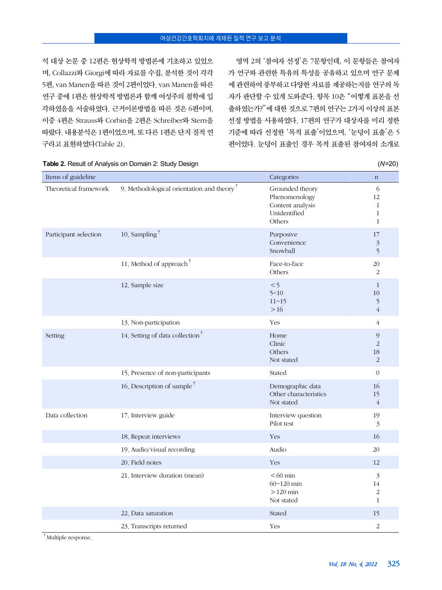석 대상 논문 중 12편은 현상학적 방법론에 기초하고 있었으 며, Collazzi와 Giorgi에 따라 자료를 수집, 분석한 것이 각각 5편, van Manen을 따른 것이 2편이었다. van Manen을 따른 연구 중에 1편은 현상학적 방법론과 함께 여성주의 철학에 입 각하였음을 서술하였다. 근거이론방법을 따른 것은 6편이며, 이중 4편은 Strauss와 Corbin을 2편은 Schreiber와 Stern을 따랐다. 내용분석은 1편이었으며, 또 다른 1편은 단지 질적 연 구라고 표현하였다(Table 2).

영역 2의 '참여자 선정'은 7문항인데, 이 문항들은 참여자 가 연구와 관련한 특유의 특성을 공유하고 있으며 연구 문제 에 관련하여 풍부하고 다양한 자료를 제공하는지를 연구의 독 자가 판단할 수 있게 도와준다. 항목 10은 "어떻게 표본을 선 출하였는가?"에 대한 것으로 7편의 연구는 2가지 이상의 표본 선정 방법을 사용하였다. 17편의 연구가 대상자를 미리 정한 기준에 따라 선정한 '목적 표출'이었으며, '눈덩이 표출'은 5 편이었다. 눈덩이 표출인 경우 목적 표출된 참여자의 소개로

| Items of guideline    |                                              | Categories                                                                     | $\mathbf n$                                             |
|-----------------------|----------------------------------------------|--------------------------------------------------------------------------------|---------------------------------------------------------|
| Theoretical framework | 9. Methodological orientation and theory $†$ | Grounded theory<br>Phenomenology<br>Content analysis<br>Unidentified<br>Others | 6<br>12<br>$\mathbf{1}$<br>$\mathbf{1}$<br>$\mathbf{1}$ |
| Participant selection | 10. Sampling <sup>†</sup>                    | Purposive<br>Convenience<br>Snowball                                           | 17<br>$\mathfrak{Z}$<br>5                               |
|                       | 11. Method of approach <sup>†</sup>          | Face-to-face<br>Others                                                         | 20<br>2                                                 |
|                       | 12. Sample size                              | < 5<br>$5 - 10$<br>$11 - 15$<br>$>16$                                          | $\mathbf{1}$<br>10<br>5<br>$\overline{4}$               |
|                       | 13. Non-participation                        | Yes                                                                            | $\overline{4}$                                          |
| Setting               | 14. Setting of data collection <sup>†</sup>  | Home<br>Clinic<br>Others<br>Not stated                                         | $\mathcal{Q}$<br>$\overline{2}$<br>18<br>2              |
|                       | 15. Presence of non-participants             | Stated                                                                         | $\theta$                                                |
|                       | 16. Description of sample <sup>†</sup>       | Demographic data<br>Other characteristics<br>Not stated                        | 16<br>15<br>$\overline{4}$                              |
| Data collection       | 17. Interview guide                          | Interview question<br>Pilot test                                               | 19<br>$\mathfrak{Z}$                                    |
|                       | 18. Repeat interviews                        | Yes                                                                            | 16                                                      |
|                       | 19. Audio/visual recording                   | Audio                                                                          | 20                                                      |
|                       | 20. Field notes                              | Yes                                                                            | 12                                                      |
|                       | 21. Interview duration (mean)                | $< 60$ min<br>$60 - 120$ min<br>$>120$ min<br>Not stated                       | 3<br>14<br>2<br>1                                       |
|                       | 22. Data saturation                          | Stated                                                                         | 15                                                      |
|                       | 23. Transcripts returned                     | Yes                                                                            | $\overline{2}$                                          |

**Table 2.** Result of Analysis on Domain 2: Study Design (*N*=20)

†Multiple response.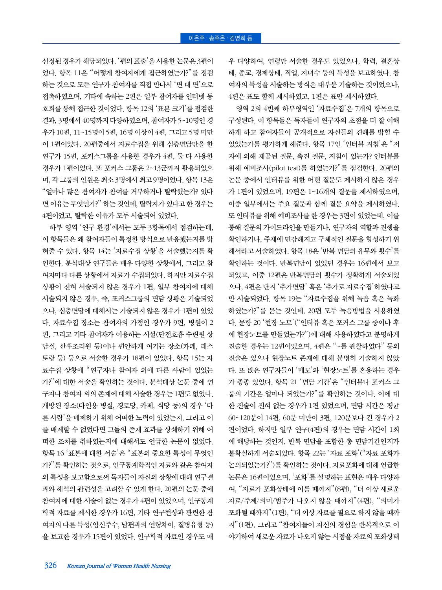선정된 경우가 해당되었다. '편의 표출'을 사용한 논문은 3편이 었다. 항목 11은 "어떻게 참여자에게 접근하였는가?"를 점검 하는 것으로 모든 연구가 참여자를 직접 만나서 '면 대 면'으로 접촉하였으며, 기타에 속하는 2편은 일부 참여자를 인터넷 동 호회를 통해 접근한 것이었다. 항목 12의 '표본 크기'를 점검한 결과, 3명에서 40명까지 다양하였으며, 참여자가 5~10명인 경 우가 10편, 11~15명이 5편, 16명 이상이 4편, 그리고 5명 미만 이 1편이었다. 20편중에서 자료수집을 위해 심층면담만을 한 연구가 15편, 포커스그룹을 사용한 경우가 4편, 둘 다 사용한 경우가 1편이었다. 또 포커스 그룹은 2~13군까지 활용되었으 며, 각 그룹의 인원은 최소 3명에서 최고 9명이었다. 항목 13은 "얼마나 많은 참여자가 참여를 거부하거나 탈락했는가? 있다 면 이유는 무엇인가?" 하는 것인데, 탈락자가 있다고 한 경우는 4편이었고, 탈락한 이유가 모두 서술되어 있었다.

하부 영역 '연구 환경'에서는 모두 3항목에서 점검하는데, 이 항목들은 왜 참여자들이 특정한 방식으로 반응했는지를 밝 혀줄 수 있다. 항목 14는 '자료수집 상황'을 서술했는지를 확 인한다. 분석대상 연구들은 매우 다양한 상황에서, 그리고 참 여자마다 다른 상황에서 자료가 수집되었다. 하지만 자료수집 상황이 전혀 서술되지 않은 경우가 1편, 일부 참여자에 대해 서술되지 않은 경우, 즉, 포커스그룹의 면담 상황은 기술되었 으나, 심층면담에 대해서는 기술되지 않은 경우가 1편이 있었 다. 자료수집 장소는 참여자의 가정인 경우가 9편, 병원이 2 편, 그리고 기타 참여자가 이용하는 시설(단전호흡 수련원 상 담실, 산후조리원 등)이나 편안하게 여기는 장소(카페, 레스 토랑 등) 등으로 서술한 경우가 18편이 있었다. 항목 15는 자 료수집 상황에 "연구자나 참여자 외에 다른 사람이 있었는 가?"에 대한 서술을 확인하는 것이다. 분석대상 논문 중에 연 구자나 참여자 외의 존재에 대해 서술한 경우는 1편도 없었다. 개방된 장소(다인용 병실, 경로당, 카페, 식당 등)의 경우 '다 른 사람'을 배제하기 위해 어떠한 노력이 있었는지, 그리고 이 를 배제할 수 없었다면 그들의 존재 효과를 상쇄하기 위해 어 떠한 조처를 취하였는지에 대해서도 언급한 논문이 없었다. 항목 16 '표본에 대한 서술'은 "표본의 중요한 특성이 무엇인 가?"를 확인하는 것으로, 인구통계학적인 자료와 같은 참여자 의 특성을 보고함으로써 독자들이 자신의 상황에 대해 연구결 과와 해석의 관련성을 고려할 수 있게 한다. 20편의 논문 중에 참여자에 대한 서술이 없는 경우가 4편이 있었으며, 인구통계 학적 자료를 제시한 경우가 16편, 기타 연구현상과 관련한 참 여자의 다른 특성(임신주수, 남편과의 연령차이, 질병유형 등) 을 보고한 경우가 15편이 있었다. 인구학적 자료인 경우도 매

영역 2의 4번째 하부영역인 '자료수집'은 7개의 항목으로 구성된다. 이 항목들은 독자들이 연구자의 초점을 더 잘 이해

우 다양하여, 연령만 서술한 경우도 있었으나, 학력, 결혼상 태, 종교, 경제상태, 직업, 자녀수 등의 특성을 보고하였다. 참 여자의 특성을 서술하는 방식은 대부분 기술하는 것이었으나,

4편은 표도 함께 제시하였고, 1편은 표만 제시하였다.

하게 하고 참여자들이 공개적으로 자신들의 견해를 밝힐 수 있었는가를 평가하게 해준다. 항목 17인 '인터뷰 지침'은 "저 자에 의해 제공된 질문, 촉진 질문, 지침이 있는가? 인터뷰를 위해 예비조사(pilot test)를 하였는가?"를 점검한다. 20편의 논문 중에서 인터뷰를 위한 어떤 질문도 제시하지 않은 경우 가 1편이 있었으며, 19편은 1~16개의 질문을 제시하였으며, 이중 일부에서는 주요 질문과 함께 질문 요약을 제시하였다. 또 인터뷰를 위해 예비조사를 한 경우는 3편이 있었는데, 이를 통해 질문의 가이드라인을 만들거나, 연구자의 역할과 진행을 확인하거나, 주제에 민감해지고 구체적인 질문을 형성하기 위 해서라고 서술하였다. 항목 18은 '반복 면담의 유무와 횟수'를 확인하는 것이다. 반복면담이 있었던 경우는 16편에서 보고 되었고, 이중 12편은 반복면담의 횟수가 정확하게 서술되었 으나, 4편은 단지 '추가면담' 혹은 '추가로 자료수집'하였다고 만 서술되었다. 항목 19는 "자료수집을 위해 녹음 혹은 녹화 하였는가?"를 묻는 것인데, 20편 모두 녹음방법을 사용하였 다. 문항 20 '현장 노트'("인터뷰 혹은 포커스 그룹 중이나 후 에 현장노트를 만들었는가?")에 대해 사용하였다고 분명하게 진술한 경우는 12편이었으며, 4편은 "~를 관찰하였다" 등의 진술은 있으나 현장노트 존재에 대해 분명히 기술하지 않았 다. 또 많은 연구자들이 '메모'와 '현장노트'를 혼용하는 경우 가 종종 있었다. 항목 21 '면담 기간'은 "인터뷰나 포커스 그 룹의 기간은 얼마나 되었는가?"를 확인하는 것이다. 이에 대 한 진술이 전혀 없는 경우가 1편 있었으며, 면담 시간은 평균 60~120분이 14편, 60분 미만이 3편, 120분보다 긴 경우가 2 편이었다. 하지만 일부 연구(4편)의 경우는 면담 시간이 1회 에 해당하는 것인지, 반복 면담을 포함한 총 면담기간인지가 불확실하게 서술되었다. 항목 22는 '자료 포화'("자료 포화가 논의되었는가?")를 확인하는 것이다. 자료포화에 대해 언급한 논문은 16편이었으며, '포화'를 설명하는 표현은 매우 다양하 여, "자료가 포화상태에 이를 때까지"(8편), "더 이상 새로운 자료/주제/의미/범주가 나오지 않을 때까지"(4편), "의미가 포화될 때까지"(1편), "더 이상 자료를 필요로 하지 않을 때까 지"(1편), 그리고 "참여자들이 자신의 경험을 반복적으로 이 야기하여 새로운 자료가 나오지 않는 시점을 자료의 포화상태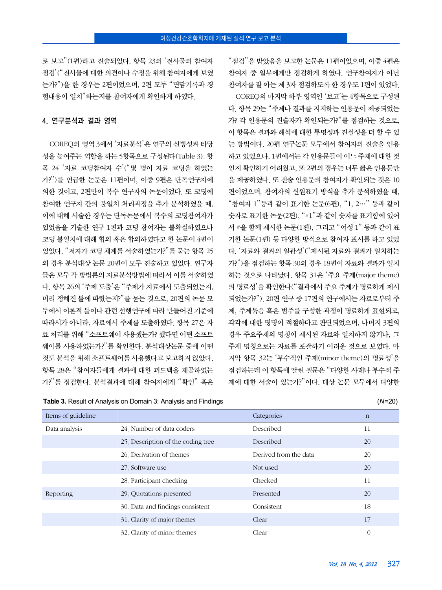로 보고"(1편)라고 진술되었다. 항목 23의 '전사물의 참여자 점검'("전사물에 대한 의견이나 수정을 위해 참여자에게 보였 는가?")을 한 경우는 2편이었으며, 2편 모두 "면담기록과 경 험내용이 일치"하는지를 참여자에게 확인하게 하였다.

#### 4. 연구분석과 결과 영역

COREQ의 영역 3에서 '자료분석'은 연구의 신빙성과 타당 성을 높여주는 역할을 하는 5항목으로 구성된다(Table 3). 항 목 24 '자료 코딩참여자 수'("몇 명이 자료 코딩을 하였는 가?")를 언급한 논문은 11편이며, 이중 9편은 단독연구자에 의한 것이고, 2편만이 복수 연구자의 논문이었다. 또 코딩에 참여한 연구자 간의 불일치 처리과정을 추가 분석하였을 때, 이에 대해 서술한 경우는 단독논문에서 복수의 코딩참여자가 있었음을 기술한 연구 1편과 코딩 참여자는 불확실하였으나 코딩 불일치에 대해 협의 혹은 합의하였다고 한 논문이 4편이 있었다. "저자가 코딩 체계를 서술하였는가?"를 묻는 항목 25 의 경우 분석대상 논문 20편이 모두 진술하고 있었다. 연구자 들은 모두 각 방법론의 자료분석방법에 따라서 이를 서술하였 다. 항목 26의 '주제 도출'은 "주제가 자료에서 도출되었는지, 미리 정해진 틀에 따랐는지?"를 묻는 것으로, 20편의 논문 모 두에서 이론적 틀이나 관련 선행연구에 따라 만들어진 기준에 따라서가 아니라, 자료에서 주제를 도출하였다. 항목 27은 자 료 처리를 위해 "소프트웨어 사용했는가? 했다면 어떤 소프트 웨어를 사용하였는가?"를 확인한다. 분석대상논문 중에 어떤 것도 분석을 위해 소프트웨어를 사용했다고 보고하지 않았다. 항목 28은 "참여자들에게 결과에 대한 피드백을 제공하였는 가?"를 점검한다. 분석결과에 대해 참여자에게 "확인" 혹은

"점검"을 받았음을 보고한 논문은 11편이었으며, 이중 4편은 참여자 중 일부에게만 점검하게 하였다. 연구참여자가 아닌 참여자를 잘 아는 제 3자 점검하도록 한 경우도 1편이 있었다.

COREQ의 마지막 하부 영역인 '보고'는 4항목으로 구성된 다. 항목 29는 "주제나 결과를 지지하는 인용문이 제공되었는 가? 각 인용문의 진술자가 확인되는가?"를 점검하는 것으로, 이 항목은 결과와 해석에 대한 투명성과 진실성을 더 할 수 있 는 방법이다. 20편 연구논문 모두에서 참여자의 진술을 인용 하고 있었으나, 1편에서는 각 인용문들이 어느 주제에 대한 것 인지 확인하기 어려웠고, 또 2편의 경우는 너무 짧은 인용문만 을 제공하였다. 또 진술 인용문의 참여자가 확인되는 것은 10 편이었으며, 참여자의 신원표기 방식을 추가 분석하였을 때, "참여자 1"등과 같이 표기한 논문(6편), "1, 2…" 등과 같이 숫자로 표기한 논문(2편), "#1"과 같이 숫자를 표기함에 있어 서 #을 함께 제시한 논문(1편), 그리고 "여성 1" 등과 같이 표 기한 논문(1편) 등 다양한 방식으로 참여자 표시를 하고 있었 다. '자료와 결과의 일관성'("제시된 자료와 결과가 일치하는 가?")을 점검하는 항목 30의 경우 18편이 자료와 결과가 일치 하는 것으로 나타났다. 항목 31은 '주요 주제(major theme) 의 명료성'을 확인한다("결과에서 주요 주제가 명료하게 제시 되었는가?"). 20편 연구 중 17편의 연구에서는 자료로부터 주 제, 주제묶음 혹은 범주를 구성한 과정이 명료하게 표현되고, 각각에 대한 명명이 적절하다고 판단되었으며, 나머지 3편의 경우 주요주제의 명칭이 제시된 자료와 일치하지 않거나, 그 주제 명칭으로는 자료를 포괄하기 어려운 것으로 보였다. 마 지막 항목 32는 '부수적인 주제(minor theme)의 명료성'을 점검하는데 이 항목에 딸린 질문은 "다양한 사례나 부수적 주 제에 대한 서술이 있는가?"이다. 대상 논문 모두에서 다양한

| Items of guideline |                                    | Categories            | $\mathbf n$    |
|--------------------|------------------------------------|-----------------------|----------------|
| Data analysis      | 24. Number of data coders          | Described             | 11             |
|                    | 25. Description of the coding tree | Described             | 20             |
|                    | 26. Derivation of themes           | Derived from the data | 20             |
|                    | 27. Software use                   | Not used              | 20             |
|                    | 28. Participant checking           | Checked               | 11             |
| Reporting          | 29. Quotations presented           | Presented             | 20             |
|                    | 30. Data and findings consistent   | Consistent            | 18             |
|                    | 31. Clarity of major themes        | Clear                 | 17             |
|                    | 32. Clarity of minor themes        | Clear                 | $\overline{0}$ |

**Table 3.** Result of Analysis on Domain 3: Analysis and Findings (*N*=20)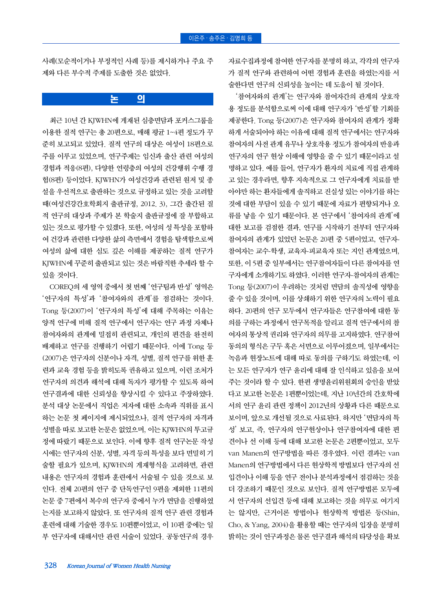사례(모순적이거나 부정적인 사례 등)를 제시하거나 주요 주 제와 다른 부수적 주제를 도출한 것은 없었다.

## 논 의

최근 10년 간 KJWHN에 게재된 심층면담과 포커스그룹을 이용한 질적 연구는 총 20편으로, 매해 평균 1~4편 정도가 꾸 준히 보고되고 있었다. 질적 연구의 대상은 여성이 18편으로 주를 이루고 있었으며, 연구주제는 임신과 출산 관련 여성의 경험과 적응(8편), 다양한 연령층의 여성의 건강행위 수행 경 험(8편) 등이었다. KJWHN가 여성건강과 관련된 원저 및 종 설을 우선적으로 출판하는 것으로 규정하고 있는 것을 고려할 때(여성건강간호학회지 출판규정, 2012. 3), 그간 출간된 질 적 연구의 대상과 주제가 본 학술지 출판규정에 잘 부합하고 있는 것으로 평가할 수 있겠다. 또한, 여성의 성 특성을 포함하 여 건강과 관련한 다양한 삶의 측면에서 경험을 탐색함으로써 여성의 삶에 대한 심도 깊은 이해를 제공하는 질적 연구가 KJWHN에 꾸준히 출판되고 있는 것은 바람직한 추세라 할 수 있을 것이다.

COREQ의 세 영역 중에서 첫 번째 '연구팀과 반성' 영역은 '연구자의 특성'과 '참여자와의 관계'를 점검하는 것이다. Tong 등(2007)이 '연구자의 특성'에 대해 주목하는 이유는 양적 연구에 비해 질적 연구에서 연구자는 연구 과정 자체나 참여자와의 관계에 밀접히 관련되고, 개인의 편견을 완전히 배제하고 연구를 진행하기 어렵기 때문이다. 이에 Tong 등 (2007)은 연구자의 신분이나 자격, 성별, 질적 연구를 위한 훈 련과 교육 경험 등을 밝히도록 권유하고 있으며, 이런 조처가 연구자의 의견과 해석에 대해 독자가 평가할 수 있도록 하여 연구결과에 대한 신뢰성을 향상시킬 수 있다고 주장하였다. 분석 대상 논문에서 직업은 저자에 대한 소속과 직위를 표시 하는 논문 첫 페이지에 제시되었으나, 질적 연구자의 자격과 성별을 따로 보고한 논문은 없었으며, 이는 KJWHN의 투고규 정에 따랐기 때문으로 보인다. 이에 향후 질적 연구논문 작성 시에는 연구자의 신분, 성별, 자격 등의 특성을 보다 면밀히 기 술할 필요가 있으며, KJWHN의 게재형식을 고려하면, 관련 내용은 연구자의 경험과 훈련에서 서술될 수 있을 것으로 보 인다. 전체 20편의 연구 중 단독연구인 9편을 제외한 11편의 논문 중 7편에서 복수의 연구자 중에서 누가 면담을 진행하였 는지를 보고하지 않았다. 또 연구자의 질적 연구 관련 경험과 훈련에 대해 기술한 경우도 10편뿐이었고, 이 10편 중에는 일 부 연구자에 대해서만 관련 서술이 있었다. 공동연구의 경우

자료수집과정에 참여한 연구자를 분명히 하고, 각각의 연구자 가 질적 연구와 관련하여 어떤 경험과 훈련을 하였는지를 서 술한다면 연구의 신뢰성을 높이는 데 도움이 될 것이다.

'참여자와의 관계'는 연구자와 참여자간의 관계의 상호작 용 정도를 분석함으로써 이에 대해 연구자가 '반성'할 기회를 제공한다. Tong 등(2007)은 연구자와 참여자의 관계가 정확 하게 서술되어야 하는 이유에 대해 질적 연구에서는 연구자와 참여자의 사전 관계 유무나 상호작용 정도가 참여자의 반응과 연구자의 연구 현상 이해에 영향을 줄 수 있기 때문이라고 설 명하고 있다. 예를 들어, 연구자가 환자의 치료에 직접 관계하 고 있는 경우라면, 향후 지속적으로 그 연구자에게 치료를 받 아야만 하는 환자들에게 솔직하고 진실성 있는 이야기를 하는 것에 대한 부담이 있을 수 있기 때문에 자료가 편향되거나 오 류를 낳을 수 있기 때문이다. 본 연구에서 '참여자의 관계'에 대한 보고를 검점한 결과, 연구를 시작하기 전부터 연구자와 참여자의 관계가 있었던 논문은 20편 중 5편이었고, 연구자-참여자는 교수-학생, 교육자-피교육자 또는 지인 관계였으며, 또한, 이 5편 중 일부에서는 연구참여자들이 다른 참여자를 연 구자에게 소개하기도 하였다. 이러한 연구자-참여자의 관계는 Tong 등(2007)이 우려하는 것처럼 면담의 솔직성에 영향을 줄 수 있을 것이며, 이를 상쇄하기 위한 연구자의 노력이 필요 하다. 20편의 연구 모두에서 연구자들은 연구참여에 대한 동 의를 구하는 과정에서 연구목적을 알리고 질적 연구에서의 참 여자의 통상적 권리와 연구자의 의무를 고지하였다. 연구참여 동의의 형식은 구두 혹은 서면으로 이루어졌으며, 일부에서는 녹음과 현장노트에 대해 따로 동의를 구하기도 하였는데, 이 는 모든 연구자가 연구 윤리에 대해 잘 인식하고 있음을 보여 주는 것이라 할 수 있다. 한편 생명윤리위원회의 승인을 받았 다고 보고한 논문은 1편뿐이었는데, 지난 10년간의 간호학에 서의 연구 윤리 관련 정책이 2012년의 상황과 다른 때문으로 보이며, 앞으로 개선될 것으로 사료된다. 하지만 '면담자의 특 성' 보고, 즉, 연구자의 연구현상이나 연구참여자에 대한 편 견이나 선 이해 등에 대해 보고한 논문은 2편뿐이었고, 모두 van Manen의 연구방법을 따른 경우였다. 이런 결과는 van Manen의 연구방법에서 다른 현상학적 방법보다 연구자의 선 입견이나 이해 등을 연구 전이나 분석과정에서 점검하는 것을 더 강조하기 때문인 것으로 보인다. 질적 연구방법론 모두에 서 연구자의 선입견 등에 대해 보고하는 것을 의무로 여기지 는 않지만, 근거이론 방법이나 현상학적 방법론 등(Shin, Cho, & Yang, 2004)을 활용할 때는 연구자의 입장을 분명히 밝히는 것이 연구과정은 물론 연구결과 해석의 타당성을 확보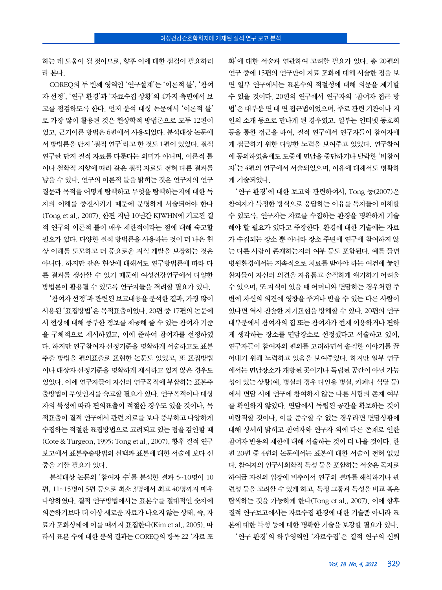하는 데 도움이 될 것이므로, 향후 이에 대한 점검이 필요하리 라 본다.

COREQ의 두 번째 영역인 '연구설계'는 '이론적 틀', '참여 자 선정', '연구 환경'과 '자료수집 상황'의 4가지 측면에서 보 고를 점검하도록 한다. 먼저 분석 대상 논문에서 '이론적 틀' 로 가장 많이 활용된 것은 현상학적 방법론으로 모두 12편이 었고, 근거이론 방법은 6편에서 사용되었다. 분석대상 논문에 서 방법론을 단지 '질적 연구'라고 한 것도 1편이 있었다. 질적 연구란 단지 질적 자료를 다룬다는 의미가 아니며, 이론적 틀 이나 철학적 지향에 따라 같은 질적 자료도 전혀 다른 결과를 낳을 수 있다. 연구의 이론적 틀을 밝히는 것은 연구자의 연구 질문과 목적을 어떻게 탐색하고 무엇을 탐색하는지에 대한 독 자의 이해를 증진시키기 때문에 분명하게 서술되어야 한다 (Tong et al., 2007). 한편 지난 10년간 KJWHN에 기고된 질 적 연구의 이론적 틀이 매우 제한적이라는 점에 대해 숙고할 필요가 있다. 다양한 질적 방법론을 사용하는 것이 더 나은 현 상 이해를 도모하고 더 풍요로운 지식 개발을 보장하는 것은 아니다. 하지만 같은 현상에 대해서도 연구방법론에 따라 다 른 결과를 생산할 수 있기 때문에 여성건강연구에서 다양한 방법론이 활용될 수 있도록 연구자들을 격려할 필요가 있다.

'참여자 선정'과 관련된 보고내용을 분석한 결과, 가장 많이 사용된 '표집방법'은 목적표출이었다. 20편 중 17편의 논문에 서 현상에 대해 풍부한 정보를 제공해 줄 수 있는 참여자 기준 을 구체적으로 제시하였고, 이에 준하여 참여자를 선정하였 다. 하지만 연구참여자 선정기준을 명확하게 서술하고도 표본 추출 방법을 편의표출로 표현한 논문도 있었고, 또 표집방법 이나 대상자 선정기준을 명확하게 제시하고 있지 않은 경우도 있었다. 이에 연구자들이 자신의 연구목적에 부합하는 표본추 출방법이 무엇인지를 숙고할 필요가 있다. 연구목적이나 대상 자의 특성에 따라 편의표출이 적절한 경우도 있을 것이나, 목 적표출이 질적 연구에서 관련 자료를 보다 풍부하고 다양하게 수집하는 적절한 표집방법으로 고려되고 있는 점을 감안할 때 (Cote & Turgeon, 1995; Tong et al., 2007), 향후 질적 연구 보고에서 표본추출방법의 선택과 표본에 대한 서술에 보다 신 중을 기할 필요가 있다.

분석대상 논문의 '참여자 수'를 분석한 결과 5~10명이 10 편, 11~15명이 5편 등으로 최소 3명에서 최고 40명까지 매우 다양하였다. 질적 연구방법에서는 표본수를 절대적인 숫자에 의존하기보다 더 이상 새로운 자료가 나오지 않는 상태, 즉, 자 료가 포화상태에 이를 때까지 표집한다(Kim et al., 2005). 따 라서 표본 수에 대한 분석 결과는 COREQ의 항목 22 '자료 포

화'에 대한 서술과 연관하여 고려할 필요가 있다. 총 20편의 연구 중에 15편의 연구만이 자료 포화에 대해 서술한 점을 보 면 일부 연구에서는 표본수의 적절성에 대해 의문을 제기할 수 있을 것이다. 20편의 연구에서 연구자의 '참여자 접근 방 법'은 대부분 면 대 면 접근법이었으며, 주로 관련 기관이나 지 인의 소개 등으로 만나게 된 경우였고, 일부는 인터넷 동호회 등을 통한 접근을 하여, 질적 연구에서 연구자들이 참여자에 게 접근하기 위한 다양한 노력을 보여주고 있었다. 연구참여 에 동의하였음에도 도중에 면담을 중단하거나 탈락한 '비참여 자'는 4편의 연구에서 서술되었으며, 이유에 대해서도 명확하 게 기술되었다.

'연구 환경'에 대한 보고와 관련하여서, Tong 등(2007)은 참여자가 특정한 방식으로 응답하는 이유를 독자들이 이해할 수 있도록, 연구자는 자료를 수집하는 환경을 명확하게 기술 해야 할 필요가 있다고 주장한다. 환경에 대한 기술에는 자료 가 수집되는 장소 뿐 아니라 장소 주변에 연구에 참여하지 않 는 다른 사람이 존재하는지의 여부 등도 포함된다. 예를 들면 병원환경에서는 지속적으로 치료를 받아야 하는 여건에 놓인 환자들이 자신의 의견을 자유롭고 솔직하게 얘기하기 어려울 수 있으며, 또 자식이 있을 때 어머니와 면담하는 경우처럼 주 변에 자신의 의견에 영향을 주거나 받을 수 있는 다른 사람이 있다면 역시 진솔한 자기표현을 방해할 수 있다. 20편의 연구 대부분에서 참여자의 집 또는 참여자가 현재 이용하거나 편하 게 생각하는 장소를 면담장소로 선정했다고 서술하고 있어, 연구자들이 참여자의 편의를 고려하면서 솔직한 이야기를 끌 어내기 위해 노력하고 있음을 보여주었다. 하지만 일부 연구 에서는 면담장소가 개방된 곳이거나 독립된 공간이 아닐 가능 성이 있는 상황(예, 병실의 경우 다인용 병실, 카페나 식당 등) 에서 면담 시에 연구에 참여하지 않는 다른 사람의 존재 여부 를 확인하지 않았다. 면담에서 독립된 공간을 확보하는 것이 바람직할 것이나, 이를 준수할 수 없는 경우라면 면담상황에 대해 상세히 밝히고 참여자와 연구자 외에 다른 존재로 인한 참여자 반응의 제한에 대해 서술하는 것이 더 나을 것이다. 한 편 20편 중 4편의 논문에서는 표본에 대한 서술이 전혀 없었 다. 참여자의 인구사회학적 특성 등을 포함하는 서술은 독자로 하여금 자신의 입장에 비추어서 연구의 결과를 해석하거나 관 련성 등을 고려할 수 있게 하고, 특정 그룹과 특성을 비교 혹은 탐색하는 것을 가능하게 한다(Tong et al., 2007). 이에 향후 질적 연구보고에서는 자료수집 환경에 대한 기술뿐 아니라 표 본에 대한 특성 등에 대한 명확한 기술을 보강할 필요가 있다. '연구 환경'의 하부영역인 '자료수집'은 질적 연구의 신뢰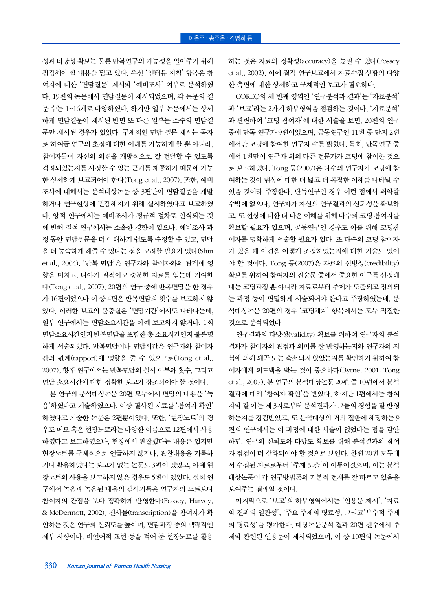성과 타당성 확보는 물론 반복연구의 가능성을 열어주기 위해 점검해야 할 내용을 담고 있다. 우선 '인터뷰 지침' 항목은 참 여자에 대한 '면담질문' 제시와 '예비조사' 여부로 분석하였 다. 19편의 논문에서 면담질문이 제시되었으며, 각 논문의 질 문 수는 1~16개로 다양하였다. 하지만 일부 논문에서는 상세 하게 면담질문이 제시된 반면 또 다른 일부는 소수의 면담질 문만 제시된 경우가 있었다. 구체적인 면담 질문 제시는 독자 로 하여금 연구의 초점에 대한 이해를 가능하게 할 뿐 아니라, 참여자들이 자신의 의견을 개방적으로 잘 전달할 수 있도록 격려되었는지를 사정할 수 있는 근거를 제공하기 때문에 가능 한 상세하게 보고되어야 한다(Tong et al., 2007). 또한, 예비 조사에 대해서는 분석대상논문 중 3편만이 면담질문을 개발 하거나 연구현상에 민감해지기 위해 실시하였다고 보고하였 다. 양적 연구에서는 예비조사가 정규적 절차로 인식되는 것 에 반해 질적 연구에서는 소홀한 경향이 있으나, 예비조사 과 정 동안 면담질문을 더 이해하기 쉽도록 수정할 수 있고, 면담 을 더 능숙하게 해줄 수 있다는 점을 고려할 필요가 있다(Shin et al., 2004). '반복 면담'은 연구자와 참여자와의 관계에 영 향을 미치고, 나아가 질적이고 충분한 자료를 얻는데 기여한 다(Tong et al., 2007). 20편의 연구 중에 반복면담을 한 경우 가 16편이었으나 이 중 4편은 반목면담의 횟수를 보고하지 않 았다. 이러한 보고의 불충실은 '면담기간'에서도 나타나는데, 일부 연구에서는 면담소요시간을 아예 보고하지 않거나, 1회 면담소요시간인지 반복면담을 포함한 총 소요시간인지 불분명 하게 서술되었다. 반복면담이나 면담시간은 연구자와 참여자 간의 관계(rapport)에 영향을 줄 수 있으므로(Tong et al., 2007), 향후 연구에서는 반복면담의 실시 여부와 횟수, 그리고 면담 소요시간에 대한 정확한 보고가 강조되어야 할 것이다.

본 연구의 분석대상논문 20편 모두에서 면담의 내용을 '녹 음'하였다고 기술하였으나, 이중 필사된 자료를 '참여자 확인' 하였다고 기술한 논문은 2편뿐이었다. 또한, '현장노트'의 경 우도 메모 혹은 현장노트라는 다양한 이름으로 12편에서 사용 하였다고 보고하였으나, 현장에서 관찰했다는 내용은 있지만 현장노트를 구체적으로 언급하지 않거나, 관찰내용을 기록하 거나 활용하였다는 보고가 없는 논문도 3편이 있었고, 아예 현 장노트의 사용을 보고하지 않은 경우도 5편이 있었다. 질적 연 구에서 녹음과 녹음된 내용의 필사기록은 연구자의 노트보다 참여자의 관점을 보다 정확하게 반영한다(Fossey, Harvey, & McDermott, 2002). 전사물(transcription)을 참여자가 확 인하는 것은 연구의 신뢰도를 높이며, 면담과정 중의 맥락적인 세부 사항이나, 비언어적 표현 등을 적어 둔 현장노트를 활용

하는 것은 자료의 정확성(accuracy)을 높일 수 있다(Fossey et al., 2002). 이에 질적 연구보고에서 자료수집 상황의 다양 한 측면에 대한 상세하고 구체적인 보고가 필요하다.

COREQ의 세 번째 영역인 '연구분석과 결과'는 '자료분석' 과 '보고'라는 2가지 하부영역을 점검하는 것이다. '자료분석' 과 관련하여 '코딩 참여자'에 대한 서술을 보면, 20편의 연구 중에 단독 연구가 9편이었으며, 공동연구인 11편 중 단지 2편 에서만 코딩에 참여한 연구자 수를 밝혔다. 특히, 단독연구 중 에서 1편만이 연구자 외의 다른 전문가가 코딩에 참여한 것으 로 보고하였다. Tong 등(2007)은 다수의 연구자가 코딩에 참 여하는 것이 현상에 대한 더 넓고 더 복잡한 이해를 나타날 수 있을 것이라 주장한다. 단독연구인 경우 이런 점에서 취약할 수밖에 없으나, 연구자가 자신의 연구결과의 신뢰성을 확보하 고, 또 현상에 대한 더 나은 이해를 위해 다수의 코딩 참여자를 확보할 필요가 있으며, 공동연구인 경우도 이를 위해 코딩참 여자를 명확하게 서술할 필요가 있다. 또 다수의 코딩 참여자 가 있을 때 이견을 어떻게 조정하였는지에 대한 기술도 있어 야 할 것이다. Tong 등(2007)은 자료의 신빙성(credibility) 확보를 위하여 참여자의 진술문 중에서 중요한 어구를 선정해 내는 코딩과정 뿐 아니라 자료로부터 주제가 도출되고 정의되 는 과정 등이 면밀하게 서술되어야 한다고 주장하였는데, 분 석대상논문 20편의 경우 '코딩체계' 항목에서는 모두 적절한 것으로 분석되었다.

연구결과의 타당성(validity) 확보를 위하여 연구자의 분석 결과가 참여자의 관점과 의미를 잘 반영하는지와 연구자의 지 식에 의해 왜곡 또는 축소되지 않았는지를 확인하기 위하여 참 여자에게 피드백을 받는 것이 중요하다(Byrne, 2001; Tong et al., 2007). 본 연구의 분석대상논문 20편 중 10편에서 분석 결과에 대해 '참여자 확인'을 받았다. 하지만 1편에서는 참여 자와 잘 아는 제 3자로부터 분석결과가 그들의 경험을 잘 반영 하는지를 점검받았고, 또 분석대상의 거의 절반에 해당하는 9 편의 연구에서는 이 과정에 대한 서술이 없었다는 점을 감안 하면, 연구의 신뢰도와 타당도 확보를 위해 분석결과의 참여 자 점검이 더 강화되어야 할 것으로 보인다. 한편 20편 모두에 서 수집된 자료로부터 '주제 도출'이 이루어졌으며, 이는 분석 대상논문이 각 연구방법론의 기본적 전제를 잘 따르고 있음을 보여주는 결과일 것이다.

마지막으로 '보고'의 하부영역에서는 '인용문 제시', '자료 와 결과의 일관성', '주요 주제의 명료성, 그리고'부수적 주제 의 명료성'을 평가한다. 대상논문분석 결과 20편 전수에서 주 제와 관련된 인용문이 제시되었으며, 이 중 10편의 논문에서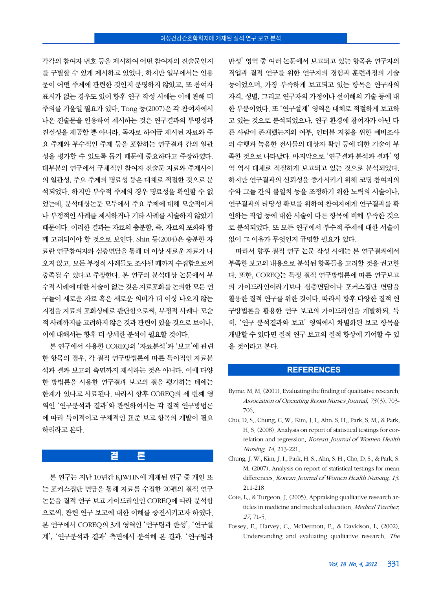각각의 참여자 번호 등을 제시하여 어떤 참여자의 진술문인지 를 구별할 수 있게 제시하고 있었다. 하지만 일부에서는 인용 문이 어떤 주제에 관련한 것인지 분명하지 않았고, 또 참여자 표시가 없는 경우도 있어 향후 연구 작성 시에는 이에 관해 더 주의를 기울일 필요가 있다. Tong 등(2007)은 각 참여자에서 나온 진술문을 인용하여 제시하는 것은 연구결과의 투명성과 진실성을 제공할 뿐 아니라, 독자로 하여금 제시된 자료와 주 요 주제와 부수적인 주제 등을 포함하는 연구결과 간의 일관 성을 평가할 수 있도록 돕기 때문에 중요하다고 주장하였다. 대부분의 연구에서 구체적인 참여자 진술문 자료와 주제사이 의 일관성, 주요 주제의 명료성 등은 대체로 적절한 것으로 분 석되었다. 하지만 부수적 주제의 경우 명료성을 확인할 수 없 었는데, 분석대상논문 모두에서 주요 주제에 대해 모순적이거 나 부정적인 사례를 제시하거나 기타 사례를 서술하지 않았기 때문이다. 이러한 결과는 자료의 충분함, 즉, 자료의 포화와 함 께 고려되어야 할 것으로 보인다. Shin 등(2004)은 충분한 자 료란 연구참여자와 심층면담을 통해 더 이상 새로운 자료가 나 오지 않고, 모든 부정적 사례들도 조사될 때까지 수집함으로써 충족될 수 있다고 주장한다. 본 연구의 분석대상 논문에서 부 수적 사례에 대한 서술이 없는 것은 자료포화를 논의한 모든 연 구들이 새로운 자료 혹은 새로운 의미가 더 이상 나오지 않는 지점을 자료의 포화상태로 판단함으로써, 부정적 사례나 모순 적 사례까지를 고려하지 않은 것과 관련이 있을 것으로 보이나, 이에 대해서는 향후 더 상세한 분석이 필요할 것이다.

본 연구에서 사용한 COREQ의 '자료분석'과 '보고'에 관련 한 항목의 경우, 각 질적 연구방법론에 따른 특이적인 자료분 석과 결과 보고의 측면까지 제시하는 것은 아니다. 이에 다양 한 방법론을 사용한 연구결과 보고의 질을 평가하는 데에는 한계가 있다고 사료된다. 따라서 향후 COREQ의 세 번째 영 역인 '연구분석과 결과'와 관련하여서는 각 질적 연구방법론 에 따라 특이적이고 구체적인 표준 보고 항목의 개발이 필요 하리라고 본다.

## 결 론

본 연구는 지난 10년간 KJWHN에 게재된 연구 중 개인 또 는 포커스집단 면담을 통해 자료를 수집한 20편의 질적 연구 논문을 질적 연구 보고 가이드라인인 COREQ에 따라 분석함 으로써, 관련 연구 보고에 대한 이해를 증진시키고자 하였다. 본 연구에서 COREQ의 3개 영역인 '연구팀과 반성', '연구설 계', '연구분석과 결과' 측면에서 분석해 본 결과, '연구팀과

반성' 영역 중 여러 논문에서 보고되고 있는 항목은 연구자의 직업과 질적 연구를 위한 연구자의 경험과 훈련과정의 기술 등이었으며, 가장 부족하게 보고되고 있는 항목은 연구자의 자격, 성별, 그리고 연구자의 가정이나 선이해의 기술 등에 대 한 부분이었다. 또 '연구설계' 영역은 대체로 적절하게 보고하 고 있는 것으로 분석되었으나, 연구 환경에 참여자가 아닌 다 른 사람이 존재했는지의 여부, 인터뷰 지침을 위한 예비조사 의 수행과 녹음한 전사물의 대상자 확인 등에 대한 기술이 부 족한 것으로 나타났다. 마지막으로 '연구결과 분석과 결과' 영 역 역시 대체로 적절하게 보고되고 있는 것으로 분석되었다. 하지만 연구결과의 신뢰성을 증가시키기 위해 코딩 참여자의 수와 그들 간의 불일치 등을 조정하기 위한 노력의 서술이나, 연구결과의 타당성 확보를 위하여 참여자에게 연구결과를 확 인하는 작업 등에 대한 서술이 다른 항목에 비해 부족한 것으 로 분석되었다. 또 모든 연구에서 부수적 주제에 대한 서술이 없어 그 이유가 무엇인지 규명할 필요가 있다.

따라서 향후 질적 연구 논문 작성 시에는 본 연구결과에서 부족한 보고의 내용으로 분석된 항목들을 고려할 것을 권고한 다. 또한, COREQ는 특정 질적 연구방법론에 따른 연구보고 의 가이드라인이라기보다 심층면담이나 포커스집단 면담을 활용한 질적 연구를 위한 것이다. 따라서 향후 다양한 질적 연 구방법론을 활용한 연구 보고의 가이드라인을 개발하되, 특 히, '연구 분석결과와 보고' 영역에서 차별화된 보고 항목을 개발할 수 있다면 질적 연구 보고의 질적 향상에 기여할 수 있 을 것이라고 본다.

#### **REFERENCES**

- Byrne, M. M. (2001). Evaluating the finding of qualitative research. Association of Operating Room Nurses Journal, 73(3), 703- 706.
- Cho, D. S., Chung, C. W., Kim, J. I., Ahn, S. H., Park, S. M., & Park, H. S. (2008). Analysis on report of statistical testings for correlation and regression. Korean Journal of Women Health Nursing, 14, 213-221.
- Chung, J. W., Kim, J. I., Park, H. S., Ahn, S. H., Cho, D. S., & Park, S. M. (2007). Analysis on report of statistical testings for mean differences. Korean Journal of Women Health Nursing, 13, 211-218.
- Cote, L., & Turgeon, J. (2005). Appraising qualitative research articles in medicine and medical education. Medical Teacher, <sup>27</sup>, 71-5.
- Fossey, E., Harvey, C., McDermott, F., & Davidson, L. (2002). Understanding and evaluating qualitative research. The